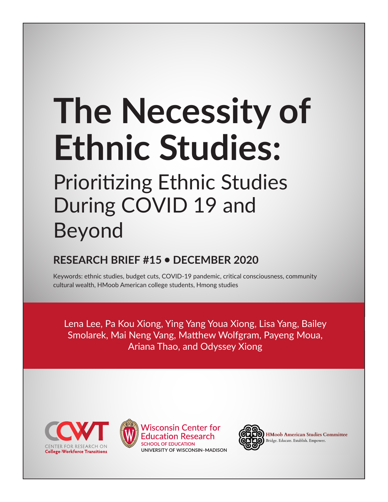# **The Necessity of Ethnic Studies:**

Prioritizing Ethnic Studies During COVID 19 and Beyond

# **RESEARCH BRIEF #15 • DECEMBER 2020**

Keywords: ethnic studies, budget cuts, COVID-19 pandemic, critical consciousness, community cultural wealth, HMoob American college students, Hmong studies

Lena Lee, Pa Kou Xiong, Ying Yang Youa Xiong, Lisa Yang, Bailey Smolarek, Mai Neng Vang, Matthew Wolfgram, Payeng Moua, Ariana Thao, and Odyssey Xiong





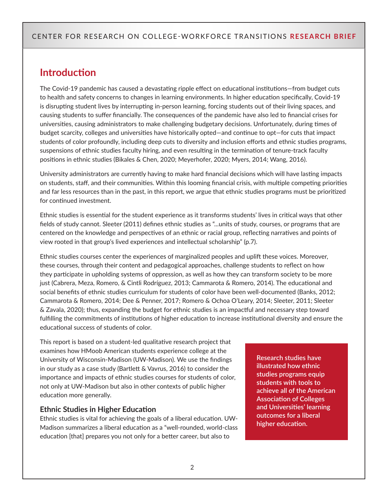# **Introduction**

The Covid-19 pandemic has caused a devastating ripple effect on educational institutions—from budget cuts to health and safety concerns to changes in learning environments. In higher education specifically, Covid-19 is disrupting student lives by interrupting in-person learning, forcing students out of their living spaces, and causing students to suffer financially. The consequences of the pandemic have also led to financial crises for universities, causing administrators to make challenging budgetary decisions. Unfortunately, during times of budget scarcity, colleges and universities have historically opted—and continue to opt—for cuts that impact students of color profoundly, including deep cuts to diversity and inclusion efforts and ethnic studies programs, suspensions of ethnic studies faculty hiring, and even resulting in the termination of tenure-track faculty positions in ethnic studies (Bikales & Chen, 2020; Meyerhofer, 2020; Myers, 2014; Wang, 2016).

University administrators are currently having to make hard financial decisions which will have lasting impacts on students, staff, and their communities. Within this looming financial crisis, with multiple competing priorities and far less resources than in the past, in this report, we argue that ethnic studies programs must be prioritized for continued investment.

Ethnic studies is essential for the student experience as it transforms students' lives in critical ways that other fields of study cannot. Sleeter (2011) defines ethnic studies as "...units of study, courses, or programs that are centered on the knowledge and perspectives of an ethnic or racial group, reflecting narratives and points of view rooted in that group's lived experiences and intellectual scholarship" (p.7).

Ethnic studies courses center the experiences of marginalized peoples and uplift these voices. Moreover, these courses, through their content and pedagogical approaches, challenge students to reflect on how they participate in upholding systems of oppression, as well as how they can transform society to be more just (Cabrera, Meza, Romero, & Cintli Rodríguez, 2013; Cammarota & Romero, 2014). The educational and social benefits of ethnic studies curriculum for students of color have been well-documented (Banks, 2012; Cammarota & Romero, 2014; Dee & Penner, 2017; Romero & Ochoa O'Leary, 2014; Sleeter, 2011; Sleeter & Zavala, 2020); thus, expanding the budget for ethnic studies is an impactful and necessary step toward fulfilling the commitments of institutions of higher education to increase institutional diversity and ensure the educational success of students of color.

This report is based on a student-led qualitative research project that examines how HMoob American students experience college at the University of Wisconsin-Madison (UW-Madison). We use the findings in our study as a case study (Bartlett & Vavrus, 2016) to consider the importance and impacts of ethnic studies courses for students of color, not only at UW-Madison but also in other contexts of public higher education more generally.

#### **Ethnic Studies in Higher Education**

Ethnic studies is vital for achieving the goals of a liberal education. UW-Madison summarizes a liberal education as a "well-rounded, world-class education [that] prepares you not only for a better career, but also to

**Research studies have illustrated how ethnic studies programs equip students with tools to achieve all of the American Association of Colleges and Universities' learning outcomes for a liberal higher education.**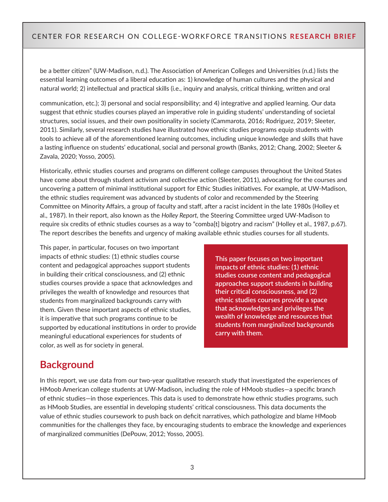be a better citizen" (UW-Madison, n.d.). The Association of American Colleges and Universities (n.d.) lists the essential learning outcomes of a liberal education as: 1) knowledge of human cultures and the physical and natural world; 2) intellectual and practical skills (i.e., inquiry and analysis, critical thinking, written and oral

communication, etc.); 3) personal and social responsibility; and 4) integrative and applied learning. Our data suggest that ethnic studies courses played an imperative role in guiding students' understanding of societal structures, social issues, and their own positionality in society (Cammarota, 2016; Rodriguez, 2019; Sleeter, 2011). Similarly, several research studies have illustrated how ethnic studies programs equip students with tools to achieve all of the aforementioned learning outcomes, including unique knowledge and skills that have a lasting influence on students' educational, social and personal growth (Banks, 2012; Chang, 2002; Sleeter & Zavala, 2020; Yosso, 2005).

Historically, ethnic studies courses and programs on different college campuses throughout the United States have come about through student activism and collective action (Sleeter, 2011), advocating for the courses and uncovering a pattern of minimal institutional support for Ethic Studies initiatives. For example, at UW-Madison, the ethnic studies requirement was advanced by students of color and recommended by the Steering Committee on Minority Affairs, a group of faculty and staff, after a racist incident in the late 1980s (Holley et al., 1987). In their report, also known as the *Holley Report,* the Steering Committee urged UW-Madison to require six credits of ethnic studies courses as a way to "comba[t] bigotry and racism" (Holley et al., 1987, p.67). The report describes the benefits and urgency of making available ethnic studies courses for all students.

This paper, in particular, focuses on two important impacts of ethnic studies: (1) ethnic studies course content and pedagogical approaches support students in building their critical consciousness, and (2) ethnic studies courses provide a space that acknowledges and privileges the wealth of knowledge and resources that students from marginalized backgrounds carry with them. Given these important aspects of ethnic studies, it is imperative that such programs continue to be supported by educational institutions in order to provide meaningful educational experiences for students of color, as well as for society in general.

**This paper focuses on two important impacts of ethnic studies: (1) ethnic studies course content and pedagogical approaches support students in building their critical consciousness, and (2) ethnic studies courses provide a space that acknowledges and privileges the wealth of knowledge and resources that students from marginalized backgrounds carry with them.**

# **Background**

In this report, we use data from our two-year qualitative research study that investigated the experiences of HMoob American college students at UW-Madison, including the role of HMoob studies—a specific branch of ethnic studies—in those experiences. This data is used to demonstrate how ethnic studies programs, such as HMoob Studies, are essential in developing students' critical consciousness. This data documents the value of ethnic studies coursework to push back on deficit narratives, which pathologize and blame HMoob communities for the challenges they face, by encouraging students to embrace the knowledge and experiences of marginalized communities (DePouw, 2012; Yosso, 2005).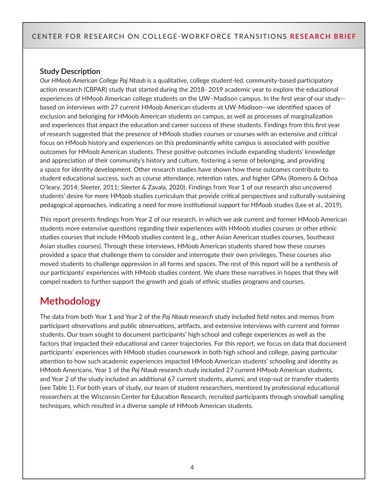#### **Study Description**

*Our HMoob American College Paj Ntaub* is a qualitative, college student-led, community-based participatory action research (CBPAR) study that started during the 2018- 2019 academic year to explore the educational experiences of HMoob American college students on the UW–Madison campus. In the first year of our study based on interviews with 27 current HMoob American students at UW-Madison—we identified spaces of exclusion and belonging for HMoob American students on campus, as well as processes of marginalization and experiences that impact the education and career success of these students. Findings from this first year of research suggested that the presence of HMoob studies courses or courses with an extensive and critical focus on HMoob history and experiences on this predominantly white campus is associated with positive outcomes for HMoob American students. These positive outcomes include expanding students' knowledge and appreciation of their community's history and culture, fostering a sense of belonging, and providing a space for identity development. Other research studies have shown how these outcomes contribute to student educational success, such as course attendance, retention rates, and higher GPAs (Romero & Ochoa O'leary, 2014; Sleeter, 2011; Sleeter & Zavala, 2020). Findings from Year 1 of our research also uncovered students' desire for more HMoob studies curriculum that provide critical perspectives and culturally-sustaining pedagogical approaches, indicating a need for more institutional support for HMoob studies (Lee et al., 2019).

This report presents findings from Year 2 of our research, in which we ask current and former HMoob American students more extensive questions regarding their experiences with HMoob studies courses or other ethnic studies courses that include HMoob studies content (e.g., other Asian American studies courses, Southeast Asian studies courses). Through these interviews, HMoob American students shared how these courses provided a space that challenge them to consider and interrogate their own privileges. These courses also moved students to challenge oppression in all forms and spaces. The rest of this report will be a synthesis of our participants' experiences with HMoob studies content. We share these narratives in hopes that they will compel readers to further support the growth and goals of ethnic studies programs and courses.

# **Methodology**

The data from both Year 1 and Year 2 of the *Paj Ntaub* research study included field notes and memos from participant observations and public observations, artifacts, and extensive interviews with current and former students. Our team sought to document participants' high school and college experiences as well as the factors that impacted their educational and career trajectories. For this report, we focus on data that document participants' experiences with HMoob studies coursework in both high school and college, paying particular attention to how such academic experiences impacted HMoob American students' schooling and identity as HMoob Americans. Year 1 of the *Paj Ntaub* research study included 27 current HMoob American students, and Year 2 of the study included an additional 67 current students, alumni, and stop-out or transfer students (see Table 1). For both years of study, our team of student researchers, mentored by professional educational researchers at the Wisconsin Center for Education Research, recruited participants through snowball sampling techniques, which resulted in a diverse sample of HMoob American students.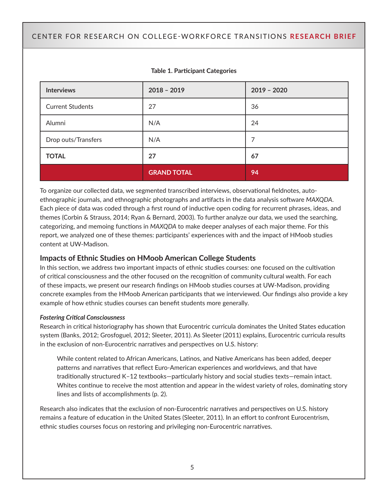| <b>Interviews</b>       | $2018 - 2019$      | $2019 - 2020$ |
|-------------------------|--------------------|---------------|
| <b>Current Students</b> | 27                 | 36            |
| Alumni                  | N/A                | 24            |
| Drop outs/Transfers     | N/A                | 7             |
| <b>TOTAL</b>            | 27                 | 67            |
|                         | <b>GRAND TOTAL</b> | 94            |

#### **Table 1. Participant Categories**

To organize our collected data, we segmented transcribed interviews, observational fieldnotes, autoethnographic journals, and ethnographic photographs and artifacts in the data analysis software *MAXQDA*. Each piece of data was coded through a first round of inductive open coding for recurrent phrases, ideas, and themes (Corbin & Strauss, 2014; Ryan & Bernard, 2003). To further analyze our data, we used the searching, categorizing, and memoing functions in *MAXQDA* to make deeper analyses of each major theme. For this report, we analyzed one of these themes: participants' experiences with and the impact of HMoob studies content at UW-Madison.

#### **Impacts of Ethnic Studies on HMoob American College Students**

In this section, we address two important impacts of ethnic studies courses: one focused on the cultivation of critical consciousness and the other focused on the recognition of community cultural wealth. For each of these impacts, we present our research findings on HMoob studies courses at UW-Madison, providing concrete examples from the HMoob American participants that we interviewed. Our findings also provide a key example of how ethnic studies courses can benefit students more generally.

#### *Fostering Critical Consciousness*

Research in critical historiography has shown that Eurocentric curricula dominates the United States education system (Banks, 2012; Grosfoguel, 2012; Sleeter, 2011). As Sleeter (2011) explains, Eurocentric curricula results in the exclusion of non-Eurocentric narratives and perspectives on U.S. history:

While content related to African Americans, Latinos, and Native Americans has been added, deeper patterns and narratives that reflect Euro-American experiences and worldviews, and that have traditionally structured K–12 textbooks—particularly history and social studies texts—remain intact. Whites continue to receive the most attention and appear in the widest variety of roles, dominating story lines and lists of accomplishments (p. 2).

Research also indicates that the exclusion of non-Eurocentric narratives and perspectives on U.S. history remains a feature of education in the United States (Sleeter, 2011). In an effort to confront Eurocentrism, ethnic studies courses focus on restoring and privileging non-Eurocentric narratives.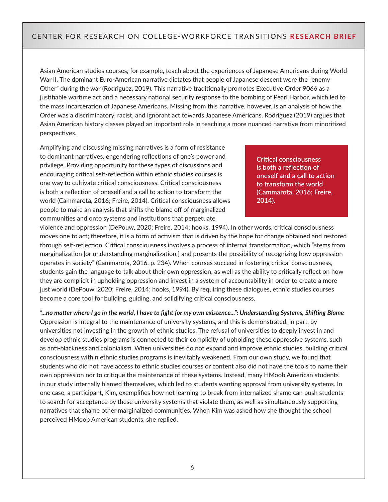Asian American studies courses, for example, teach about the experiences of Japanese Americans during World War II. The dominant Euro-American narrative dictates that people of Japanese descent were the "enemy Other" during the war (Rodriguez, 2019). This narrative traditionally promotes Executive Order 9066 as a justifiable wartime act and a necessary national security response to the bombing of Pearl Harbor, which led to the mass incarceration of Japanese Americans. Missing from this narrative, however, is an analysis of how the Order was a discriminatory, racist, and ignorant act towards Japanese Americans. Rodriguez (2019) argues that Asian American history classes played an important role in teaching a more nuanced narrative from minoritized perspectives.

Amplifying and discussing missing narratives is a form of resistance to dominant narratives, engendering reflections of one's power and privilege. Providing opportunity for these types of discussions and encouraging critical self-reflection within ethnic studies courses is one way to cultivate critical consciousness. Critical consciousness is both a reflection of oneself and a call to action to transform the world (Cammarota, 2016; Freire, 2014). Critical consciousness allows people to make an analysis that shifts the blame off of marginalized communities and onto systems and institutions that perpetuate

**Critical consciousness is both a reflection of oneself and a call to action to transform the world (Cammarota, 2016; Freire, 2014).**

violence and oppression (DePouw, 2020; Freire, 2014; hooks, 1994). In other words, critical consciousness moves one to act; therefore, it is a form of activism that is driven by the hope for change obtained and restored through self-reflection. Critical consciousness involves a process of internal transformation, which "stems from marginalization [or understanding marginalization,] and presents the possibility of recognizing how oppression operates in society" (Cammarota, 2016, p. 234). When courses succeed in fostering critical consciousness, students gain the language to talk about their own oppression, as well as the ability to critically reflect on how they are complicit in upholding oppression and invest in a system of accountability in order to create a more just world (DePouw, 2020; Freire, 2014; hooks, 1994). By requiring these dialogues, ethnic studies courses become a core tool for building, guiding, and solidifying critical consciousness.

*"...no matter where I go in the world, I have to fight for my own existence...": Understanding Systems, Shifting Blame* Oppression is integral to the maintenance of university systems, and this is demonstrated, in part, by universities not investing in the growth of ethnic studies. The refusal of universities to deeply invest in and develop ethnic studies programs is connected to their complicity of upholding these oppressive systems, such as anti-blackness and colonialism. When universities do not expand and improve ethnic studies, building critical consciousness within ethnic studies programs is inevitably weakened. From our own study, we found that students who did not have access to ethnic studies courses or content also did not have the tools to name their own oppression nor to critique the maintenance of these systems. Instead, many HMoob American students in our study internally blamed themselves, which led to students wanting approval from university systems. In one case, a participant, Kim, exemplifies how not learning to break from internalized shame can push students to search for acceptance by these university systems that violate them, as well as simultaneously supporting narratives that shame other marginalized communities. When Kim was asked how she thought the school perceived HMoob American students, she replied: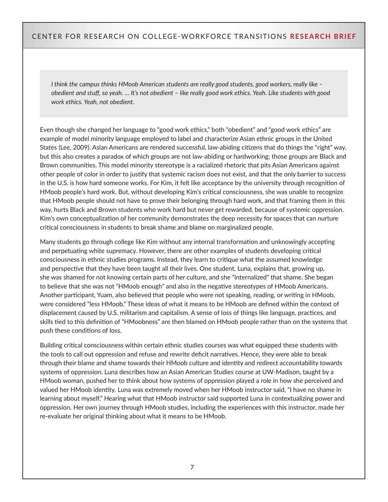*I think the campus thinks HMoob American students are really good students, good workers, really like – obedient and stuff, so yeah. … It's not obedient – like really good work ethics. Yeah. Like students with good work ethics. Yeah, not obedient.* 

Even though she changed her language to "good work ethics," both "obedient" and "good work ethics" are example of model minority language employed to label and characterize Asian ethnic groups in the United States (Lee, 2009). Asian Americans are rendered successful, law-abiding citizens that do things the "right" way, but this also creates a paradox of which groups are not law-abiding or hardworking; those groups are Black and Brown communities. This model minority stereotype is a racialized rhetoric that pits Asian Americans against other people of color in order to justify that systemic racism does not exist, and that the only barrier to success in the U.S. is how hard someone works. For Kim, it felt like acceptance by the university through recognition of HMoob people's hard work. But, without developing Kim's critical consciousness, she was unable to recognize that HMoob people should not have to prove their belonging through hard work, and that framing them in this way, hurts Black and Brown students who work hard but never get rewarded, because of systemic oppression. Kim's own conceptualization of her community demonstrates the deep necessity for spaces that can nurture critical consciousness in students to break shame and blame on marginalized people.

Many students go through college like Kim without any internal transformation and unknowingly accepting and perpetuating white supremacy. However, there are other examples of students developing critical consciousness in ethnic studies programs. Instead, they learn to critique what the assumed knowledge and perspective that they have been taught all their lives. One student, Luna, explains that, growing up, she was shamed for not knowing certain parts of her culture, and she "internalized" that shame. She began to believe that she was not "HMoob enough" and also in the negative stereotypes of HMoob Americans. Another participant, Yuam, also believed that people who were not speaking, reading, or writing in HMoob, were considered "less HMoob." These ideas of what it means to be HMoob are defined within the context of displacement caused by U.S. militarism and capitalism. A sense of loss of things like language, practices, and skills tied to this definition of "HMoobness" are then blamed on HMoob people rather than on the systems that push these conditions of loss.

Building critical consciousness within certain ethnic studies courses was what equipped these students with the tools to call out oppression and refuse and rewrite deficit narratives. Hence, they were able to break through their blame and shame towards their HMoob culture and identity and redirect accountability towards systems of oppression. Luna describes how an Asian American Studies course at UW-Madison, taught by a HMoob woman, pushed her to think about how systems of oppression played a role in how she perceived and valued her HMoob identity. Luna was extremely moved when her HMoob instructor said, "I have no shame in learning about myself." Hearing what that HMoob instructor said supported Luna in contextualizing power and oppression. Her own journey through HMoob studies, including the experiences with this instructor, made her re-evaluate her original thinking about what it means to be HMoob.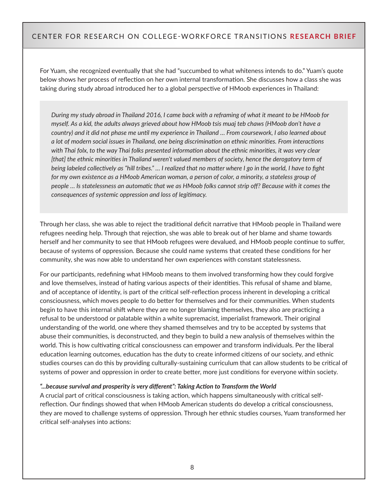For Yuam, she recognized eventually that she had "succumbed to what whiteness intends to do." Yuam's quote below shows her process of reflection on her own internal transformation. She discusses how a class she was taking during study abroad introduced her to a global perspective of HMoob experiences in Thailand:

*During my study abroad in Thailand 2016, I came back with a reframing of what it meant to be HMoob for myself. As a kid, the adults always grieved about how HMoob tsis muaj teb chaws (HMoob don't have a country) and it did not phase me until my experience in Thailand … From coursework, I also learned about a lot of modern social issues in Thailand, one being discrimination on ethnic minorities. From interactions with Thai folx, to the way Thai folks presented information about the ethnic minorities, it was very clear [that] the ethnic minorities in Thailand weren't valued members of society, hence the derogatory term of being labeled collectively as "hill tribes." … I realized that no matter where I go in the world, I have to fight for my own existence as a HMoob American woman, a person of color, a minority, a stateless group of people … Is statelessness an automatic that we as HMoob folks cannot strip off? Because with it comes the consequences of systemic oppression and loss of legitimacy.*

Through her class, she was able to reject the traditional deficit narrative that HMoob people in Thailand were refugees needing help. Through that rejection, she was able to break out of her blame and shame towards herself and her community to see that HMoob refugees were devalued, and HMoob people continue to suffer, because of systems of oppression. Because she could name systems that created these conditions for her community, she was now able to understand her own experiences with constant statelessness.

For our participants, redefining what HMoob means to them involved transforming how they could forgive and love themselves, instead of hating various aspects of their identities. This refusal of shame and blame, and of acceptance of identity, is part of the critical self-reflection process inherent in developing a critical consciousness, which moves people to do better for themselves and for their communities. When students begin to have this internal shift where they are no longer blaming themselves, they also are practicing a refusal to be understood or palatable within a white supremacist, imperialist framework. Their original understanding of the world, one where they shamed themselves and try to be accepted by systems that abuse their communities, is deconstructed, and they begin to build a new analysis of themselves within the world. This is how cultivating critical consciousness can empower and transform individuals. Per the liberal education learning outcomes, education has the duty to create informed citizens of our society, and ethnic studies courses can do this by providing culturally-sustaining curriculum that can allow students to be critical of systems of power and oppression in order to create better, more just conditions for everyone within society.

#### *"...because survival and prosperity is very different": Taking Action to Transform the World*

A crucial part of critical consciousness is taking action, which happens simultaneously with critical selfreflection. Our findings showed that when HMoob American students do develop a critical consciousness, they are moved to challenge systems of oppression. Through her ethnic studies courses, Yuam transformed her critical self-analyses into actions: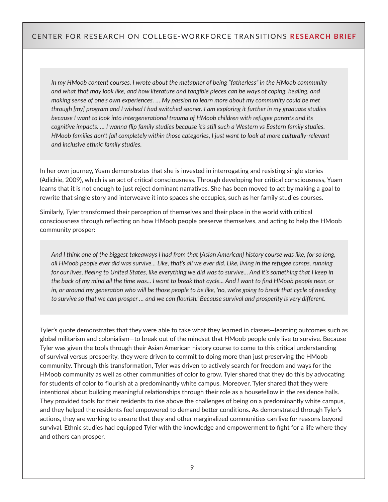*In my HMoob content courses, I wrote about the metaphor of being "fatherless" in the HMoob community and what that may look like, and how literature and tangible pieces can be ways of coping, healing, and making sense of one's own experiences. … My passion to learn more about my community could be met through [my] program and I wished I had switched sooner. I am exploring it further in my graduate studies because I want to look into intergenerational trauma of HMoob children with refugee parents and its cognitive impacts. … I wanna flip family studies because it's still such a Western vs Eastern family studies. HMoob families don't fall completely within those categories, I just want to look at more culturally-relevant and inclusive ethnic family studies.*

In her own journey, Yuam demonstrates that she is invested in interrogating and resisting single stories (Adichie, 2009), which is an act of critical consciousness. Through developing her critical consciousness, Yuam learns that it is not enough to just reject dominant narratives. She has been moved to act by making a goal to rewrite that single story and interweave it into spaces she occupies, such as her family studies courses.

Similarly, Tyler transformed their perception of themselves and their place in the world with critical consciousness through reflecting on how HMoob people preserve themselves, and acting to help the HMoob community prosper:

*And I think one of the biggest takeaways I had from that [Asian American] history course was like, for so long, all HMoob people ever did was survive... Like, that's all we ever did. Like, living in the refugee camps, running for our lives, fleeing to United States, like everything we did was to survive... And it's something that I keep in the back of my mind all the time was... I want to break that cycle... And I want to find HMoob people near, or in, or around my generation who will be those people to be like, 'no, we're going to break that cycle of needing to survive so that we can prosper … and we can flourish.' Because survival and prosperity is very different.*

Tyler's quote demonstrates that they were able to take what they learned in classes—learning outcomes such as global militarism and colonialism—to break out of the mindset that HMoob people only live to survive. Because Tyler was given the tools through their Asian American history course to come to this critical understanding of survival versus prosperity, they were driven to commit to doing more than just preserving the HMoob community. Through this transformation, Tyler was driven to actively search for freedom and ways for the HMoob community as well as other communities of color to grow. Tyler shared that they do this by advocating for students of color to flourish at a predominantly white campus. Moreover, Tyler shared that they were intentional about building meaningful relationships through their role as a housefellow in the residence halls. They provided tools for their residents to rise above the challenges of being on a predominantly white campus, and they helped the residents feel empowered to demand better conditions. As demonstrated through Tyler's actions, they are working to ensure that they and other marginalized communities can live for reasons beyond survival. Ethnic studies had equipped Tyler with the knowledge and empowerment to fight for a life where they and others can prosper.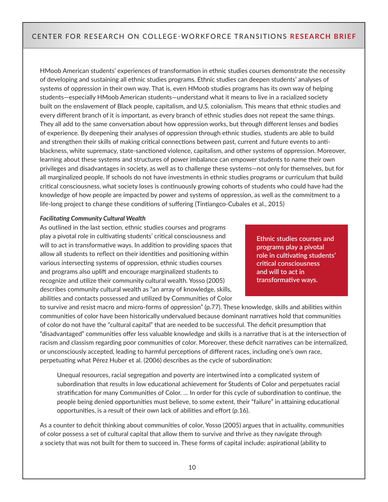HMoob American students' experiences of transformation in ethnic studies courses demonstrate the necessity of developing and sustaining all ethnic studies programs. Ethnic studies can deepen students' analyses of systems of oppression in their own way. That is, even HMoob studies programs has its own way of helping students—especially HMoob American students—understand what it means to live in a racialized society built on the enslavement of Black people, capitalism, and U.S. colonialism. This means that ethnic studies and every different branch of it is important, as every branch of ethnic studies does not repeat the same things. They all add to the same conversation about how oppression works, but through different lenses and bodies of experience. By deepening their analyses of oppression through ethnic studies, students are able to build and strengthen their skills of making critical connections between past, current and future events to antiblackness, white supremacy, state-sanctioned violence, capitalism, and other systems of oppression. Moreover, learning about these systems and structures of power imbalance can empower students to name their own privileges and disadvantages in society, as well as to challenge these systems—not only for themselves, but for all marginalized people. If schools do not have investments in ethnic studies programs or curriculum that build critical consciousness, what society loses is continuously growing cohorts of students who could have had the knowledge of how people are impacted by power and systems of oppression, as well as the commitment to a life-long project to change these conditions of suffering (Tintiangco-Cubales et al., 2015)

#### *Facilitating Community Cultural Wealth*

As outlined in the last section, ethnic studies courses and programs play a pivotal role in cultivating students' critical consciousness and will to act in transformative ways. In addition to providing spaces that allow all students to reflect on their identities and positioning within various intersecting systems of oppression, ethnic studies courses and programs also uplift and encourage marginalized students to recognize and utilize their community cultural wealth. Yosso (2005) describes community cultural wealth as "an array of knowledge, skills, abilities and contacts possessed and utilized by Communities of Color

**Ethnic studies courses and programs play a pivotal role in cultivating students' critical consciousness and will to act in transformative ways.**

to survive and resist macro and micro-forms of oppression" (p.77). These knowledge, skills and abilities within communities of color have been historically undervalued because dominant narratives hold that communities of color do not have the "cultural capital" that are needed to be successful. The deficit presumption that "disadvantaged" communities offer less valuable knowledge and skills is a narrative that is at the intersection of racism and classism regarding poor communities of color. Moreover, these deficit narratives can be internalized, or unconsciously accepted, leading to harmful perceptions of different races, including one's own race, perpetuating what Pérez Huber et al. (2006) describes as the cycle of subordination:

Unequal resources, racial segregation and poverty are intertwined into a complicated system of subordination that results in low educational achievement for Students of Color and perpetuates racial stratification for many Communities of Color. … In order for this cycle of subordination to continue, the people being denied opportunities must believe, to some extent, their "failure" in attaining educational opportunities, is a result of their own lack of abilities and effort (p.16).

As a counter to deficit thinking about communities of color, Yosso (2005) argues that in actuality, communities of color possess a set of cultural capital that allow them to survive and thrive as they navigate through a society that was not built for them to succeed in. These forms of capital include: aspirational (ability to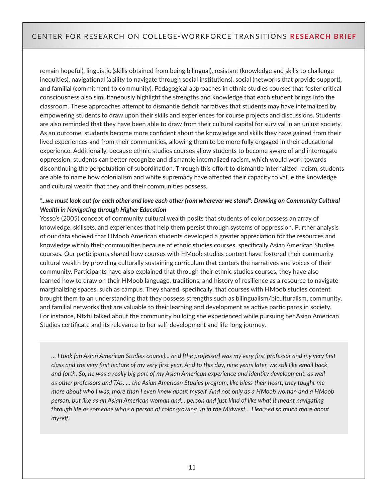remain hopeful), linguistic (skills obtained from being bilingual), resistant (knowledge and skills to challenge inequities), navigational (ability to navigate through social institutions), social (networks that provide support), and familial (commitment to community). Pedagogical approaches in ethnic studies courses that foster critical consciousness also simultaneously highlight the strengths and knowledge that each student brings into the classroom. These approaches attempt to dismantle deficit narratives that students may have internalized by empowering students to draw upon their skills and experiences for course projects and discussions. Students are also reminded that they have been able to draw from their cultural capital for survival in an unjust society. As an outcome, students become more confident about the knowledge and skills they have gained from their lived experiences and from their communities, allowing them to be more fully engaged in their educational experience. Additionally, because ethnic studies courses allow students to become aware of and interrogate oppression, students can better recognize and dismantle internalized racism, which would work towards discontinuing the perpetuation of subordination. Through this effort to dismantle internalized racism, students are able to name how colonialism and white supremacy have affected their capacity to value the knowledge and cultural wealth that they and their communities possess.

#### *"...we must look out for each other and love each other from wherever we stand": Drawing on Community Cultural Wealth in Navigating through Higher Education*

Yosso's (2005) concept of community cultural wealth posits that students of color possess an array of knowledge, skillsets, and experiences that help them persist through systems of oppression. Further analysis of our data showed that HMoob American students developed a greater appreciation for the resources and knowledge within their communities because of ethnic studies courses, specifically Asian American Studies courses. Our participants shared how courses with HMoob studies content have fostered their community cultural wealth by providing culturally sustaining curriculum that centers the narratives and voices of their community. Participants have also explained that through their ethnic studies courses, they have also learned how to draw on their HMoob language, traditions, and history of resilience as a resource to navigate marginalizing spaces, such as campus. They shared, specifically, that courses with HMoob studies content brought them to an understanding that they possess strengths such as bilingualism/biculturalism, community, and familial networks that are valuable to their learning and development as active participants in society. For instance, Ntxhi talked about the community building she experienced while pursuing her Asian American Studies certificate and its relevance to her self-development and life-long journey.

*… I took [an Asian American Studies course]... and [the professor] was my very first professor and my very first class and the very first lecture of my very first year. And to this day, nine years later, we still like email back and forth. So, he was a really big part of my Asian American experience and identity development, as well as other professors and TAs. … the Asian American Studies program, like bless their heart, they taught me more about who I was, more than I even knew about myself. And not only as a HMoob woman and a HMoob person, but like as an Asian American woman and... person and just kind of like what it meant navigating through life as someone who's a person of color growing up in the Midwest... I learned so much more about myself.*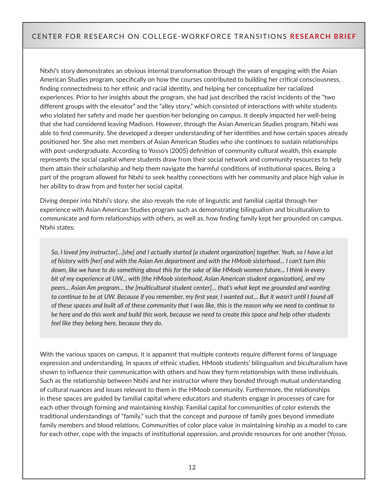Ntxhi's story demonstrates an obvious internal transformation through the years of engaging with the Asian American Studies program, specifically on how the courses contributed to building her critical consciousness, finding connectedness to her ethnic and racial identity, and helping her conceptualize her racialized experiences. Prior to her insights about the program, she had just described the racist incidents of the "two different groups with the elevator" and the "alley story," which consisted of interactions with white students who violated her safety and made her question her belonging on campus. It deeply impacted her well-being that she had considered leaving Madison. However, through the Asian American Studies program, Ntxhi was able to find community. She developed a deeper understanding of her identities and how certain spaces already positioned her. She also met members of Asian American Studies who she continues to sustain relationships with post-undergraduate. According to Yosso's (2005) definition of community cultural wealth, this example represents the social capital where students draw from their social network and community resources to help them attain their scholarship and help them navigate the harmful conditions of institutional spaces. Being a part of the program allowed for Ntxhi to seek healthy connections with her community and place high value in her ability to draw from and foster her social capital.

Diving deeper into Ntxhi's story, she also reveals the role of linguistic and familial capital through her experience with Asian American Studies program such as demonstrating bilingualism and biculturalism to communicate and form relationships with others, as well as, how finding family kept her grounded on campus. Ntxhi states:

*So, I loved [my instructor]…[she] and I actually started [a student organization] together. Yeah, so I have a lot of history with [her] and with the Asian Am department and with the HMoob sisterhood... I can't turn this down, like we have to do something about this for the sake of like HMoob women future... I think in every bit of my experience at UW... with [the HMoob sisterhood, Asian American student organization], and my peers... Asian Am program... the [multicultural student center]… that's what kept me grounded and wanting*  to continue to be at UW. Because if you remember, my first year, I wanted out... But it wasn't until I found all *of these spaces and built all of these community that I was like, this is the reason why we need to continue to be here and do this work and build this work, because we need to create this space and help other students feel like they belong here, because they do.*

With the various spaces on campus, it is apparent that multiple contexts require different forms of language expression and understanding. In spaces of ethnic studies, HMoob students' bilingualism and biculturalism have shown to influence their communication with others and how they form relationships with those individuals. Such as the relationship between Ntxhi and her instructor where they bonded through mutual understanding of cultural nuances and issues relevant to them in the HMoob community. Furthermore, the relationships in these spaces are guided by familial capital where educators and students engage in processes of care for each other through forming and maintaining kinship. Familial capital for communities of color extends the traditional understandings of "family," such that the concept and purpose of family goes beyond immediate family members and blood relations. Communities of color place value in maintaining kinship as a model to care for each other, cope with the impacts of institutional oppression, and provide resources for one another (Yosso,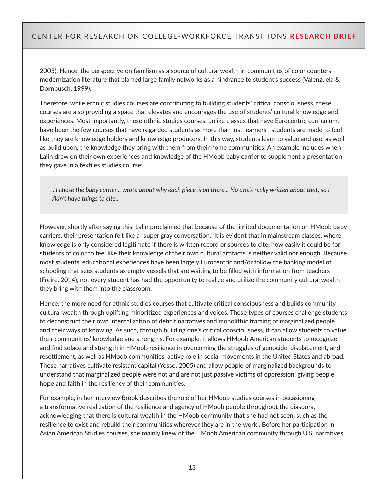2005). Hence, the perspective on familism as a source of cultural wealth in communities of color counters modernization literature that blamed large family networks as a hindrance to student's success (Valenzuela & Dornbusch, 1999).

Therefore, while ethnic studies courses are contributing to building students' critical consciousness, these courses are also providing a space that elevates and encourages the use of students' cultural knowledge and experiences. Most importantly, these ethnic studies courses, unlike classes that have Eurocentric curriculum, have been the few courses that have regarded students as more than just learners—students are made to feel like they are knowledge holders and knowledge producers. In this way, students learn to value and use, as well as build upon, the knowledge they bring with them from their home communities. An example includes when Lalin drew on their own experiences and knowledge of the HMoob baby carrier to supplement a presentation they gave in a textiles studies course:

*...I chose the baby carrier... wrote about why each piece is on there... No one's really written about that, so I didn't have things to cite..*

However, shortly after saying this, Lalin proclaimed that because of the limited documentation on HMoob baby carriers, their presentation felt like a "super gray conversation." It is evident that in mainstream classes, where knowledge is only considered legitimate if there is written record or sources to cite, how easily it could be for students of color to feel like their knowledge of their own cultural artifacts is neither valid nor enough. Because most students' educational experiences have been largely Eurocentric and/or follow the banking model of schooling that sees students as empty vessels that are waiting to be filled with information from teachers (Freire, 2014), not every student has had the opportunity to realize and utilize the community cultural wealth they bring with them into the classroom.

Hence, the more need for ethnic studies courses that cultivate critical consciousness and builds community cultural wealth through uplifting minoritized experiences and voices. These types of courses challenge students to deconstruct their own internalization of deficit narratives and monolithic framing of marginalized people and their ways of knowing. As such, through building one's critical consciousness, it can allow students to value their communities' knowledge and strengths. For example, it allows HMoob American students to recognize and find solace and strength in HMoob resilience in overcoming the struggles of genocide, displacement, and resettlement, as well as HMoob communities' active role in social movements in the United States and abroad. These narratives cultivate resistant capital (Yosso, 2005) and allow people of marginalized backgrounds to understand that marginalized people were not and are not just passive victims of oppression, giving people hope and faith in the resiliency of their communities.

For example, in her interview Brook describes the role of her HMoob studies courses in occasioning a transformative realization of the resilience and agency of HMoob people throughout the diaspora, acknowledging that there is cultural wealth in the HMoob community that she had not seen, such as the resilience to exist and rebuild their communities wherever they are in the world. Before her participation in Asian American Studies courses, she mainly knew of the HMoob American community through U.S. narratives.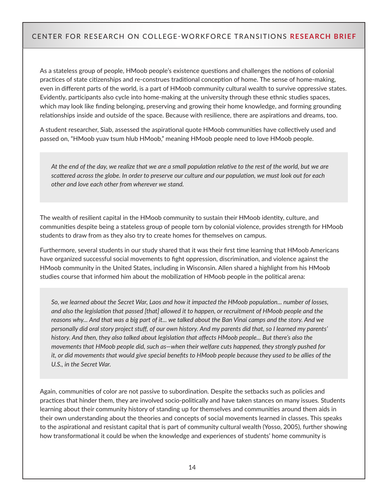As a stateless group of people, HMoob people's existence questions and challenges the notions of colonial practices of state citizenships and re-construes traditional conception of home. The sense of home-making, even in different parts of the world, is a part of HMoob community cultural wealth to survive oppressive states. Evidently, participants also cycle into home-making at the university through these ethnic studies spaces, which may look like finding belonging, preserving and growing their home knowledge, and forming grounding relationships inside and outside of the space. Because with resilience, there are aspirations and dreams, too.

A student researcher, Siab, assessed the aspirational quote HMoob communities have collectively used and passed on, "HMoob yuav tsum hlub HMoob," meaning HMoob people need to love HMoob people.

*At the end of the day, we realize that we are a small population relative to the rest of the world, but we are scattered across the globe. In order to preserve our culture and our population, we must look out for each other and love each other from wherever we stand.*

The wealth of resilient capital in the HMoob community to sustain their HMoob identity, culture, and communities despite being a stateless group of people torn by colonial violence, provides strength for HMoob students to draw from as they also try to create homes for themselves on campus.

Furthermore, several students in our study shared that it was their first time learning that HMoob Americans have organized successful social movements to fight oppression, discrimination, and violence against the HMoob community in the United States, including in Wisconsin. Allen shared a highlight from his HMoob studies course that informed him about the mobilization of HMoob people in the political arena:

*So, we learned about the Secret War, Laos and how it impacted the HMoob population... number of losses, and also the legislation that passed [that] allowed it to happen, or recruitment of HMoob people and the reasons why... And that was a big part of it... we talked about the Ban Vinai camps and the story. And we personally did oral story project stuff, of our own history. And my parents did that, so I learned my parents' history. And then, they also talked about legislation that affects HMoob people... But there's also the movements that HMoob people did, such as—when their welfare cuts happened, they strongly pushed for it, or did movements that would give special benefits to HMoob people because they used to be allies of the U.S., in the Secret War.*

Again, communities of color are not passive to subordination. Despite the setbacks such as policies and practices that hinder them, they are involved socio-politically and have taken stances on many issues. Students learning about their community history of standing up for themselves and communities around them aids in their own understanding about the theories and concepts of social movements learned in classes. This speaks to the aspirational and resistant capital that is part of community cultural wealth (Yosso, 2005), further showing how transformational it could be when the knowledge and experiences of students' home community is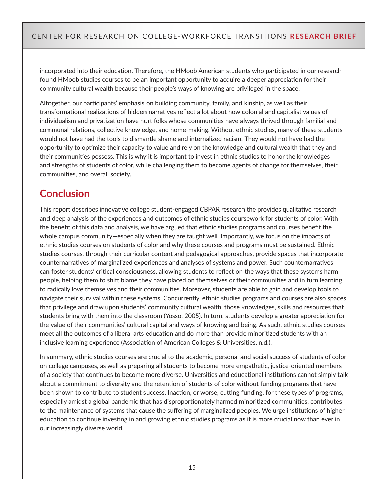incorporated into their education. Therefore, the HMoob American students who participated in our research found HMoob studies courses to be an important opportunity to acquire a deeper appreciation for their community cultural wealth because their people's ways of knowing are privileged in the space.

Altogether, our participants' emphasis on building community, family, and kinship, as well as their transformational realizations of hidden narratives reflect a lot about how colonial and capitalist values of individualism and privatization have hurt folks whose communities have always thrived through familial and communal relations, collective knowledge, and home-making. Without ethnic studies, many of these students would not have had the tools to dismantle shame and internalized racism. They would not have had the opportunity to optimize their capacity to value and rely on the knowledge and cultural wealth that they and their communities possess. This is why it is important to invest in ethnic studies to honor the knowledges and strengths of students of color, while challenging them to become agents of change for themselves, their communities, and overall society.

# **Conclusion**

This report describes innovative college student-engaged CBPAR research the provides qualitative research and deep analysis of the experiences and outcomes of ethnic studies coursework for students of color. With the benefit of this data and analysis, we have argued that ethnic studies programs and courses benefit the whole campus community—especially when they are taught well. Importantly, we focus on the impacts of ethnic studies courses on students of color and why these courses and programs must be sustained. Ethnic studies courses, through their curricular content and pedagogical approaches, provide spaces that incorporate counternarratives of marginalized experiences and analyses of systems and power. Such counternarratives can foster students' critical consciousness, allowing students to reflect on the ways that these systems harm people, helping them to shift blame they have placed on themselves or their communities and in turn learning to radically love themselves and their communities. Moreover, students are able to gain and develop tools to navigate their survival within these systems. Concurrently, ethnic studies programs and courses are also spaces that privilege and draw upon students' community cultural wealth, those knowledges, skills and resources that students bring with them into the classroom (Yosso, 2005). In turn, students develop a greater appreciation for the value of their communities' cultural capital and ways of knowing and being. As such, ethnic studies courses meet all the outcomes of a liberal arts education and do more than provide minoritized students with an inclusive learning experience (Association of American Colleges & Universities, n.d.).

In summary, ethnic studies courses are crucial to the academic, personal and social success of students of color on college campuses, as well as preparing all students to become more empathetic, justice-oriented members of a society that continues to become more diverse. Universities and educational institutions cannot simply talk about a commitment to diversity and the retention of students of color without funding programs that have been shown to contribute to student success. Inaction, or worse, cutting funding, for these types of programs, especially amidst a global pandemic that has disproportionately harmed minoritized communities, contributes to the maintenance of systems that cause the suffering of marginalized peoples. We urge institutions of higher education to continue investing in and growing ethnic studies programs as it is more crucial now than ever in our increasingly diverse world.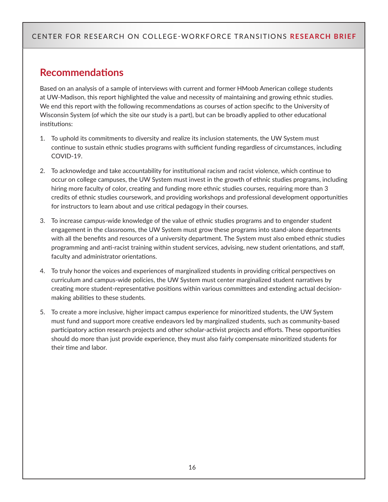# **Recommendations**

Based on an analysis of a sample of interviews with current and former HMoob American college students at UW-Madison, this report highlighted the value and necessity of maintaining and growing ethnic studies. We end this report with the following recommendations as courses of action specific to the University of Wisconsin System (of which the site our study is a part), but can be broadly applied to other educational institutions:

- 1. To uphold its commitments to diversity and realize its inclusion statements, the UW System must continue to sustain ethnic studies programs with sufficient funding regardless of circumstances, including COVID-19.
- 2. To acknowledge and take accountability for institutional racism and racist violence, which continue to occur on college campuses, the UW System must invest in the growth of ethnic studies programs, including hiring more faculty of color, creating and funding more ethnic studies courses, requiring more than 3 credits of ethnic studies coursework, and providing workshops and professional development opportunities for instructors to learn about and use critical pedagogy in their courses.
- 3. To increase campus-wide knowledge of the value of ethnic studies programs and to engender student engagement in the classrooms, the UW System must grow these programs into stand-alone departments with all the benefits and resources of a university department. The System must also embed ethnic studies programming and anti-racist training within student services, advising, new student orientations, and staff, faculty and administrator orientations.
- 4. To truly honor the voices and experiences of marginalized students in providing critical perspectives on curriculum and campus-wide policies, the UW System must center marginalized student narratives by creating more student-representative positions within various committees and extending actual decisionmaking abilities to these students.
- 5. To create a more inclusive, higher impact campus experience for minoritized students, the UW System must fund and support more creative endeavors led by marginalized students, such as community-based participatory action research projects and other scholar-activist projects and efforts. These opportunities should do more than just provide experience, they must also fairly compensate minoritized students for their time and labor.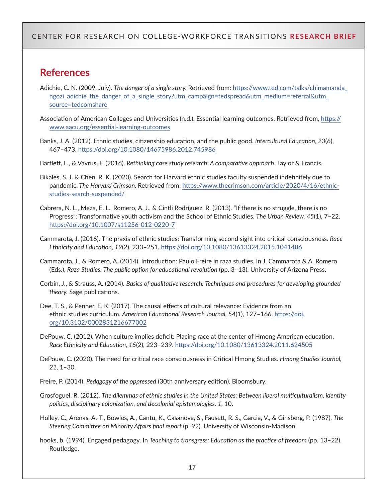## **References**

- Adichie, C. N. (2009, July). *The danger of a single story.* Retrieved from: [https://www.ted.com/talks/chimamanda\\_](https://www.ted.com/talks/chimamanda_ngozi_adichie_the_danger_of_a_single_story?utm_campaign=tedspread&utm_medium=referral&utm_source=tedcomshare) [ngozi\\_adichie\\_the\\_danger\\_of\\_a\\_single\\_story?utm\\_campaign=tedspread&utm\\_medium=referral&utm\\_](https://www.ted.com/talks/chimamanda_ngozi_adichie_the_danger_of_a_single_story?utm_campaign=tedspread&utm_medium=referral&utm_source=tedcomshare) [source=tedcomshare](https://www.ted.com/talks/chimamanda_ngozi_adichie_the_danger_of_a_single_story?utm_campaign=tedspread&utm_medium=referral&utm_source=tedcomshare)
- Association of American Colleges and Universities (n.d.). Essential learning outcomes. Retrieved from, [https://](https://www.aacu.org/essential-learning-outcomes) [www.aacu.org/essential-learning-outcomes](https://www.aacu.org/essential-learning-outcomes)
- Banks, J. A. (2012). Ethnic studies, citizenship education, and the public good. *Intercultural Education, 23*(6), 467–473. <https://doi.org/10.1080/14675986.2012.745986>

Bartlett, L., & Vavrus, F. (2016). *Rethinking case study research: A comparative approach.* Taylor & Francis.

- Bikales, S. J. & Chen, R. K. (2020). Search for Harvard ethnic studies faculty suspended indefinitely due to pandemic. *The Harvard Crimson.* Retrieved from: [https://www.thecrimson.com/article/2020/4/16/ethnic](https://www.thecrimson.com/article/2020/4/16/ethnic-studies-search-suspended/)[studies-search-suspended/](https://www.thecrimson.com/article/2020/4/16/ethnic-studies-search-suspended/)
- Cabrera, N. L., Meza, E. L., Romero, A. J., & Cintli Rodríguez, R. (2013). "If there is no struggle, there is no Progress": Transformative youth activism and the School of Ethnic Studies. *The Urban Review, 45*(1), 7–22. <https://doi.org/10.1007/s11256-012-0220-7>
- Cammarota, J. (2016). The praxis of ethnic studies: Transforming second sight into critical consciousness. *Race Ethnicity and Education, 19*(2), 233–251.<https://doi.org/10.1080/13613324.2015.1041486>
- Cammarota, J., & Romero, A. (2014). Introduction: Paulo Freire in raza studies. In J. Cammarota & A. Romero (Eds.), *Raza Studies: The public option for educational revolution* (pp. 3–13). University of Arizona Press.
- Corbin, J., & Strauss, A. (2014). *Basics of qualitative research: Techniques and procedures for developing grounded theory.* Sage publications.
- Dee, T. S., & Penner, E. K. (2017). The causal effects of cultural relevance: Evidence from an ethnic studies curriculum. *American Educational Research Journal, 54*(1), 127–166. [https://doi.](https://doi.org/10.3102/0002831216677002) [org/10.3102/0002831216677002](https://doi.org/10.3102/0002831216677002)
- DePouw, C. (2012). When culture implies deficit: Placing race at the center of Hmong American education. *Race Ethnicity and Education, 15*(2), 223–239.<https://doi.org/10.1080/13613324.2011.624505>
- DePouw, C. (2020). The need for critical race consciousness in Critical Hmong Studies. *Hmong Studies Journal, 21,* 1–30.
- Freire, P. (2014). *Pedagogy of the oppressed* (30th anniversary edition). Bloomsbury.
- Grosfoguel, R. (2012). *The dilemmas of ethnic studies in the United States: Between liberal multiculturalism, identity politics, disciplinary colonization, and decolonial epistemologies. 1,* 10.
- Holley, C., Arenas, A.-T., Bowles, A., Cantu, K., Casanova, S., Fausett, R. S., Garcia, V., & Ginsberg, P. (1987). *The Steering Committee on Minority Affairs final report* (p. 92). University of Wisconsin-Madison.
- hooks, b. (1994). Engaged pedagogy. In *Teaching to transgress: Education as the practice of freedom* (pp. 13–22). Routledge.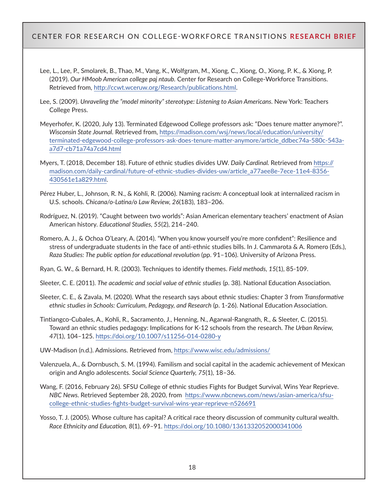- Lee, L., Lee, P., Smolarek, B., Thao, M., Vang, K., Wolfgram, M., Xiong, C., Xiong, O., Xiong, P. K., & Xiong, P. (2019). *Our HMoob American college paj ntaub.* Center for Research on College-Workforce Transitions. Retrieved from, [http://ccwt.wceruw.org/Research/publications.html.](http://ccwt.wceruw.org/Research/publications.html)
- Lee, S. (2009). *Unraveling the "model minority" stereotype: Listening to Asian Americans.* New York: Teachers College Press.
- Meyerhofer, K. (2020, July 13). Terminated Edgewood College professors ask: "Does tenure matter anymore?". *Wisconsin State Journal.* Retrieved from, [https://madison.com/wsj/news/local/education/university/](https://madison.com/wsj/news/local/education/university/terminated-edgewood-college-professors-ask-does-tenure-matter-anymore/article_ddbec74a-580c-543a-a7d7-cb71a74a7cd4.html) [terminated-edgewood-college-professors-ask-does-tenure-matter-anymore/article\\_ddbec74a-580c-543a](https://madison.com/wsj/news/local/education/university/terminated-edgewood-college-professors-ask-does-tenure-matter-anymore/article_ddbec74a-580c-543a-a7d7-cb71a74a7cd4.html)[a7d7-cb71a74a7cd4.html](https://madison.com/wsj/news/local/education/university/terminated-edgewood-college-professors-ask-does-tenure-matter-anymore/article_ddbec74a-580c-543a-a7d7-cb71a74a7cd4.html)
- Myers, T. (2018, December 18). Future of ethnic studies divides UW. *Daily Cardinal.* Retrieved from [https://](https://madison.com/daily-cardinal/future-of-ethnic-studies-divides-uw/article_a77aee8e-7ece-11e4-8356-430561e1a829.html) [madison.com/daily-cardinal/future-of-ethnic-studies-divides-uw/article\\_a77aee8e-7ece-11e4-8356-](https://madison.com/daily-cardinal/future-of-ethnic-studies-divides-uw/article_a77aee8e-7ece-11e4-8356-430561e1a829.html) [430561e1a829.html](https://madison.com/daily-cardinal/future-of-ethnic-studies-divides-uw/article_a77aee8e-7ece-11e4-8356-430561e1a829.html).
- Pérez Huber, L., Johnson, R. N., & Kohli, R. (2006). Naming racism: A conceptual look at internalized racism in U.S. schools. *Chicana/o-Latina/o Law Review, 26*(183), 183–206.
- Rodríguez, N. (2019). "Caught between two worlds": Asian American elementary teachers' enactment of Asian American history. *Educational Studies, 55*(2), 214–240.
- Romero, A. J., & Ochoa O'Leary, A. (2014). "When you know yourself you're more confident": Resilience and stress of undergraduate students in the face of anti-ethnic studies bills. In J. Cammarota & A. Romero (Eds.), *Raza Studies: The public option for educational revolution* (pp. 91–106). University of Arizona Press.

Ryan, G. W., & Bernard, H. R. (2003). Techniques to identify themes. *Field methods, 15*(1), 85-109.

Sleeter, C. E. (2011). *The academic and social value of ethnic studies* (p. 38). National Education Association.

- Sleeter, C. E., & Zavala, M. (2020). What the research says about ethnic studies: Chapter 3 from *Transformative ethnic studies in Schools: Curriculum, Pedagogy, and Research* (p. 1-26). National Education Association.
- Tintiangco-Cubales, A., Kohli, R., Sacramento, J., Henning, N., Agarwal-Rangnath, R., & Sleeter, C. (2015). Toward an ethnic studies pedagogy: Implications for K-12 schools from the research. *The Urban Review, 47*(1), 104–125.<https://doi.org/10.1007/s11256-014-0280-y>

UW-Madison (n.d.). Admissions. Retrieved from, <https://www.wisc.edu/admissions/>

- Valenzuela, A., & Dornbusch, S. M. (1994). Familism and social capital in the academic achievement of Mexican origin and Anglo adolescents. *Social Science Quarterly, 75*(1), 18–36.
- Wang, F. (2016, February 26). SFSU College of ethnic studies Fights for Budget Survival, Wins Year Reprieve. *NBC News.* Retrieved September 28, 2020, from [https://www.nbcnews.com/news/asian-america/sfsu](https://www.nbcnews.com/news/asian-america/sfsu-college-ethnic-studies-fights-budget-survival-wins-year-reprieve-n526691)[college-ethnic-studies-fights-budget-survival-wins-year-reprieve-n526691](https://www.nbcnews.com/news/asian-america/sfsu-college-ethnic-studies-fights-budget-survival-wins-year-reprieve-n526691)
- Yosso, T. J. (2005). Whose culture has capital? A critical race theory discussion of community cultural wealth. *Race Ethnicity and Education, 8*(1), 69–91.<https://doi.org/10.1080/1361332052000341006>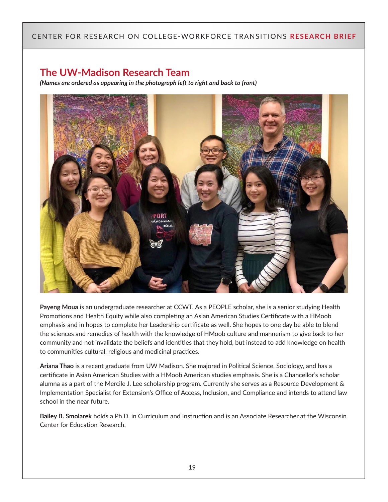# **The UW-Madison Research Team**

*(Names are ordered as appearing in the photograph left to right and back to front)*



**Payeng Moua** is an undergraduate researcher at CCWT. As a PEOPLE scholar, she is a senior studying Health Promotions and Health Equity while also completing an Asian American Studies Certificate with a HMoob emphasis and in hopes to complete her Leadership certificate as well. She hopes to one day be able to blend the sciences and remedies of health with the knowledge of HMoob culture and mannerism to give back to her community and not invalidate the beliefs and identities that they hold, but instead to add knowledge on health to communities cultural, religious and medicinal practices.

**Ariana Thao** is a recent graduate from UW Madison. She majored in Political Science, Sociology, and has a certificate in Asian American Studies with a HMoob American studies emphasis. She is a Chancellor's scholar alumna as a part of the Mercile J. Lee scholarship program. Currently she serves as a Resource Development & Implementation Specialist for Extension's Office of Access, Inclusion, and Compliance and intends to attend law school in the near future.

**Bailey B. Smolarek** holds a Ph.D. in Curriculum and Instruction and is an Associate Researcher at the Wisconsin Center for Education Research.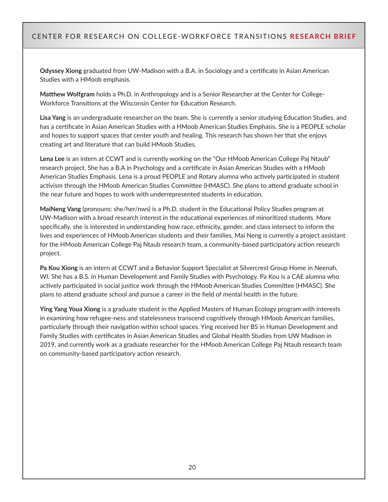**Odyssey Xiong** graduated from UW-Madison with a B.A. in Sociology and a certificate in Asian American Studies with a HMoob emphasis.

**Matthew Wolfgram** holds a Ph.D. in Anthropology and is a Senior Researcher at the Center for College-Workforce Transitions at the Wisconsin Center for Education Research.

**Lisa Yang** is an undergraduate researcher on the team. She is currently a senior studying Education Studies, and has a certificate in Asian American Studies with a HMoob American Studies Emphasis. She is a PEOPLE scholar and hopes to support spaces that center youth and healing. This research has shown her that she enjoys creating art and literature that can build HMoob Studies.

**Lena Lee** is an intern at CCWT and is currently working on the "Our HMoob American College Paj Ntaub" research project. She has a B.A in Psychology and a certificate in Asian American Studies with a HMoob American Studies Emphasis. Lena is a proud PEOPLE and Rotary alumna who actively participated in student activism through the HMoob American Studies Committee (HMASC). She plans to attend graduate school in the near future and hopes to work with underrepresented students in education.

**MaiNeng Vang** (pronouns: she/her/nws) is a Ph.D. student in the Educational Policy Studies program at UW-Madison with a broad research interest in the educational experiences of minoritized students. More specifically, she is interested in understanding how race, ethnicity, gender, and class intersect to inform the lives and experiences of HMoob American students and their families. Mai Neng is currently a project assistant for the HMoob American College Paj Ntaub research team, a community-based participatory action research project.

**Pa Kou Xiong** is an intern at CCWT and a Behavior Support Specialist at Silvercrest Group Home in Neenah, WI. She has a B.S. in Human Development and Family Studies with Psychology. Pa Kou is a CAE alumna who actively participated in social justice work through the HMoob American Studies Committee (HMASC). She plans to attend graduate school and pursue a career in the field of mental health in the future.

**Ying Yang Youa Xiong** is a graduate student in the Applied Masters of Human Ecology program with interests in examining how refugee-ness and statelessness transcend cognitively through HMoob American families, particularly through their navigation within school spaces. Ying received her BS in Human Development and Family Studies with certificates in Asian American Studies and Global Health Studies from UW Madison in 2019, and currently work as a graduate researcher for the HMoob American College Paj Ntaub research team on community-based participatory action research.